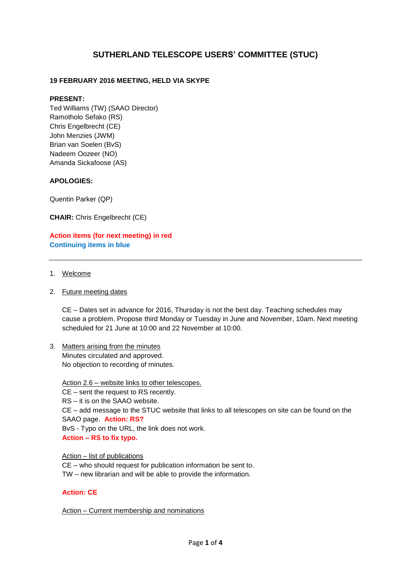# **SUTHERLAND TELESCOPE USERS' COMMITTEE (STUC)**

# **19 FEBRUARY 2016 MEETING, HELD VIA SKYPE**

#### **PRESENT:**

Ted Williams (TW) (SAAO Director) Ramotholo Sefako (RS) Chris Engelbrecht (CE) John Menzies (JWM) Brian van Soelen (BvS) Nadeem Oozeer (NO) Amanda Sickafoose (AS)

#### **APOLOGIES:**

Quentin Parker (QP)

**CHAIR:** Chris Engelbrecht (CE)

**Action items (for next meeting) in red Continuing items in blue**

- 1. Welcome
- 2. Future meeting dates

CE – Dates set in advance for 2016, Thursday is not the best day. Teaching schedules may cause a problem. Propose third Monday or Tuesday in June and November, 10am. Next meeting scheduled for 21 June at 10:00 and 22 November at 10:00.

3. Matters arising from the minutes Minutes circulated and approved. No objection to recording of minutes.

Action 2.6 – website links to other telescopes.

CE – sent the request to RS recently.

RS – it is on the SAAO website.

CE – add message to the STUC website that links to all telescopes on site can be found on the SAAO page. **Action: RS?**

BvS - Typo on the URL, the link does not work.

**Action – RS to fix typo.**

Action – list of publications CE – who should request for publication information be sent to. TW – new librarian and will be able to provide the information.

#### **Action: CE**

Action – Current membership and nominations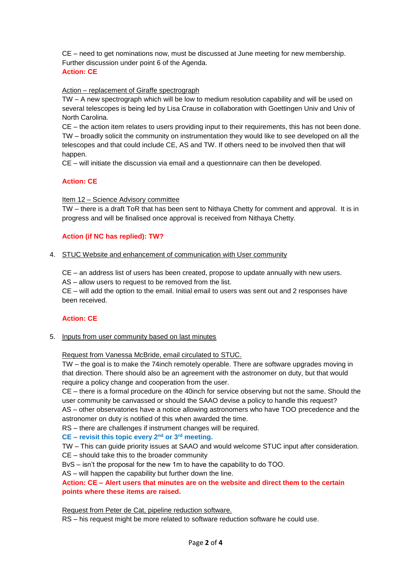CE – need to get nominations now, must be discussed at June meeting for new membership. Further discussion under point 6 of the Agenda.

# **Action: CE**

# Action – replacement of Giraffe spectrograph

TW – A new spectrograph which will be low to medium resolution capability and will be used on several telescopes is being led by Lisa Crause in collaboration with Goettingen Univ and Univ of North Carolina.

CE – the action item relates to users providing input to their requirements, this has not been done. TW – broadly solicit the community on instrumentation they would like to see developed on all the telescopes and that could include CE, AS and TW. If others need to be involved then that will happen.

CE – will initiate the discussion via email and a questionnaire can then be developed.

# **Action: CE**

Item 12 – Science Advisory committee

TW – there is a draft ToR that has been sent to Nithaya Chetty for comment and approval. It is in progress and will be finalised once approval is received from Nithaya Chetty.

# **Action (if NC has replied): TW?**

#### 4. STUC Website and enhancement of communication with User community

CE – an address list of users has been created, propose to update annually with new users.

AS – allow users to request to be removed from the list.

CE – will add the option to the email. Initial email to users was sent out and 2 responses have been received.

#### **Action: CE**

5. Inputs from user community based on last minutes

Request from Vanessa McBride, email circulated to STUC.

TW – the goal is to make the 74inch remotely operable. There are software upgrades moving in that direction. There should also be an agreement with the astronomer on duty, but that would require a policy change and cooperation from the user.

CE – there is a formal procedure on the 40inch for service observing but not the same. Should the user community be canvassed or should the SAAO devise a policy to handle this request? AS – other observatories have a notice allowing astronomers who have TOO precedence and the astronomer on duty is notified of this when awarded the time.

RS – there are challenges if instrument changes will be required.

**CE – revisit this topic every 2nd or 3rd meeting.**

TW – This can guide priority issues at SAAO and would welcome STUC input after consideration.

CE – should take this to the broader community

BvS – isn't the proposal for the new 1m to have the capability to do TOO.

AS – will happen the capability but further down the line.

### **Action: CE – Alert users that minutes are on the website and direct them to the certain points where these items are raised.**

Request from Peter de Cat, pipeline reduction software.

RS – his request might be more related to software reduction software he could use.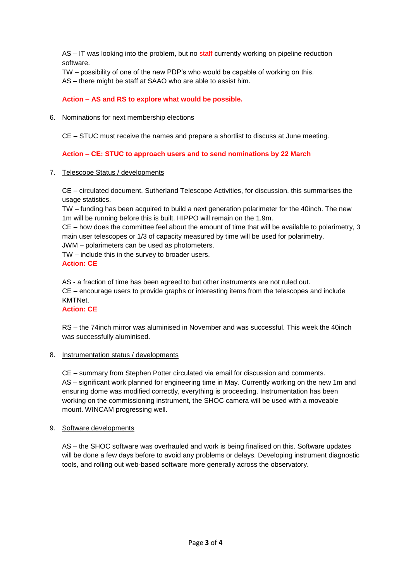AS – IT was looking into the problem, but no staff currently working on pipeline reduction software.

TW – possibility of one of the new PDP's who would be capable of working on this.

AS – there might be staff at SAAO who are able to assist him.

**Action – AS and RS to explore what would be possible.**

6. Nominations for next membership elections

CE – STUC must receive the names and prepare a shortlist to discuss at June meeting.

**Action – CE: STUC to approach users and to send nominations by 22 March**

7. Telescope Status / developments

CE – circulated document, Sutherland Telescope Activities, for discussion, this summarises the usage statistics.

TW – funding has been acquired to build a next generation polarimeter for the 40inch. The new 1m will be running before this is built. HIPPO will remain on the 1.9m.

CE – how does the committee feel about the amount of time that will be available to polarimetry, 3 main user telescopes or 1/3 of capacity measured by time will be used for polarimetry.

JWM – polarimeters can be used as photometers.

TW – include this in the survey to broader users. **Action: CE**

AS - a fraction of time has been agreed to but other instruments are not ruled out.

CE – encourage users to provide graphs or interesting items from the telescopes and include KMTNet.

# **Action: CE**

RS – the 74inch mirror was aluminised in November and was successful. This week the 40inch was successfully aluminised.

8. Instrumentation status / developments

CE – summary from Stephen Potter circulated via email for discussion and comments. AS – significant work planned for engineering time in May. Currently working on the new 1m and ensuring dome was modified correctly, everything is proceeding. Instrumentation has been working on the commissioning instrument, the SHOC camera will be used with a moveable mount. WINCAM progressing well.

#### 9. Software developments

AS – the SHOC software was overhauled and work is being finalised on this. Software updates will be done a few days before to avoid any problems or delays. Developing instrument diagnostic tools, and rolling out web-based software more generally across the observatory.